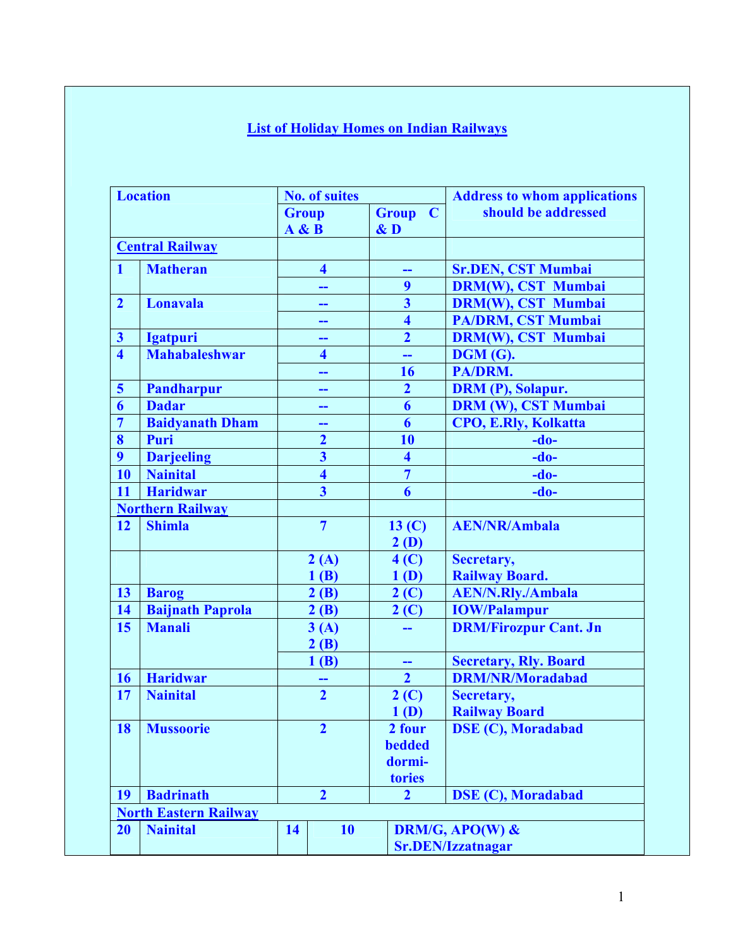## **List of Holiday Homes on Indian Railways**

| <b>Location</b>         |                              | <b>No. of suites</b> |                           |              |                         |             | <b>Address to whom applications</b> |  |  |
|-------------------------|------------------------------|----------------------|---------------------------|--------------|-------------------------|-------------|-------------------------------------|--|--|
|                         |                              | <b>Group</b>         |                           | <b>Group</b> |                         | $\mathbf C$ | should be addressed                 |  |  |
|                         |                              | A & B                |                           | $\&$ D       |                         |             |                                     |  |  |
|                         | <b>Central Railway</b>       |                      |                           |              |                         |             |                                     |  |  |
| $\mathbf{1}$            | <b>Matheran</b>              |                      | $\overline{\mathbf{4}}$   |              |                         |             | <b>Sr.DEN, CST Mumbai</b>           |  |  |
|                         |                              |                      | --                        |              | 9                       |             | <b>DRM(W), CST Mumbai</b>           |  |  |
| $\overline{2}$          | Lonavala                     |                      | --                        |              | $\overline{\mathbf{3}}$ |             | <b>DRM(W), CST Mumbai</b>           |  |  |
|                         |                              |                      | --                        |              | $\overline{\mathbf{4}}$ |             | PA/DRM, CST Mumbai                  |  |  |
| $\overline{\mathbf{3}}$ | <b>Igatpuri</b>              |                      | --                        |              | $\overline{2}$          |             | <b>DRM(W), CST Mumbai</b>           |  |  |
| $\overline{\mathbf{4}}$ | <b>Mahabaleshwar</b>         |                      | 4                         |              | --                      |             | <b>DGM (G).</b>                     |  |  |
|                         |                              |                      | --                        |              | 16                      |             | PA/DRM.                             |  |  |
| $\overline{\mathbf{5}}$ | <b>Pandharpur</b>            |                      | --                        |              | $\overline{2}$          |             | DRM (P), Solapur.                   |  |  |
| 6                       | <b>Dadar</b>                 |                      | --                        |              | 6                       |             | <b>DRM (W), CST Mumbai</b>          |  |  |
| $\overline{7}$          | <b>Baidyanath Dham</b>       |                      | --                        |              | $\boldsymbol{6}$        |             | <b>CPO, E.Rly, Kolkatta</b>         |  |  |
| 8                       | Puri                         |                      | $\overline{2}$            |              | 10                      |             | $-do-$                              |  |  |
| 9                       | <b>Darjeeling</b>            |                      | $\overline{\mathbf{3}}$   |              | $\overline{\mathbf{4}}$ |             | $-do-$                              |  |  |
| 10                      | <b>Nainital</b>              |                      | $\overline{\mathbf{4}}$   |              | $\overline{7}$          |             | $-do-$                              |  |  |
| 11                      | <b>Haridwar</b>              |                      | $\overline{\overline{3}}$ |              | $\overline{\mathbf{6}}$ |             | $-do-$                              |  |  |
|                         | <b>Northern Railway</b>      |                      |                           |              |                         |             |                                     |  |  |
| <b>12</b>               | <b>Shimla</b>                |                      | $\overline{7}$            |              | 13 <sub>(C)</sub>       |             | <b>AEN/NR/Ambala</b>                |  |  |
|                         |                              |                      |                           |              | 2(D)                    |             |                                     |  |  |
|                         |                              |                      | 2(A)                      |              | 4 <sup>(C)</sup>        |             | Secretary,                          |  |  |
|                         |                              |                      | 1(B)                      |              | 1(D)                    |             | <b>Railway Board.</b>               |  |  |
| 13                      | <b>Barog</b>                 |                      | 2(B)                      |              | $2($ C $)$              |             | <b>AEN/N.Rly./Ambala</b>            |  |  |
| 14                      | <b>Baijnath Paprola</b>      |                      | 2(B)                      |              | 2(C)                    |             | <b>IOW/Palampur</b>                 |  |  |
| 15                      | <b>Manali</b>                |                      | 3(A)                      |              |                         |             | <b>DRM/Firozpur Cant. Jn</b>        |  |  |
|                         |                              |                      | 2(B)                      |              |                         |             |                                     |  |  |
|                         |                              |                      | 1(B)                      |              | --                      |             | <b>Secretary, Rly. Board</b>        |  |  |
| <b>16</b>               | <b>Haridwar</b>              |                      |                           |              | $\overline{2}$          |             | <b>DRM/NR/Moradabad</b>             |  |  |
| 17                      | <b>Nainital</b>              |                      | $\overline{2}$            |              | $2($ C $)$              |             | Secretary,                          |  |  |
|                         |                              |                      |                           |              | 1(D)                    |             | <b>Railway Board</b>                |  |  |
| 18                      | <b>Mussoorie</b>             |                      | $\overline{2}$            |              | 2 four                  |             | <b>DSE (C), Moradabad</b>           |  |  |
|                         |                              |                      |                           |              | <b>bedded</b>           |             |                                     |  |  |
|                         |                              |                      |                           |              | dormi-                  |             |                                     |  |  |
|                         |                              |                      |                           |              | tories                  |             |                                     |  |  |
| 19                      | <b>Badrinath</b>             |                      | $\overline{2}$            |              | $\overline{2}$          |             | <b>DSE (C), Moradabad</b>           |  |  |
|                         | <b>North Eastern Railway</b> |                      |                           |              |                         |             |                                     |  |  |
| 20                      | <b>Nainital</b>              | 14                   | 10                        |              |                         |             | DRM/G, APO(W) &                     |  |  |
|                         |                              |                      |                           |              |                         |             | <b>Sr.DEN/Izzatnagar</b>            |  |  |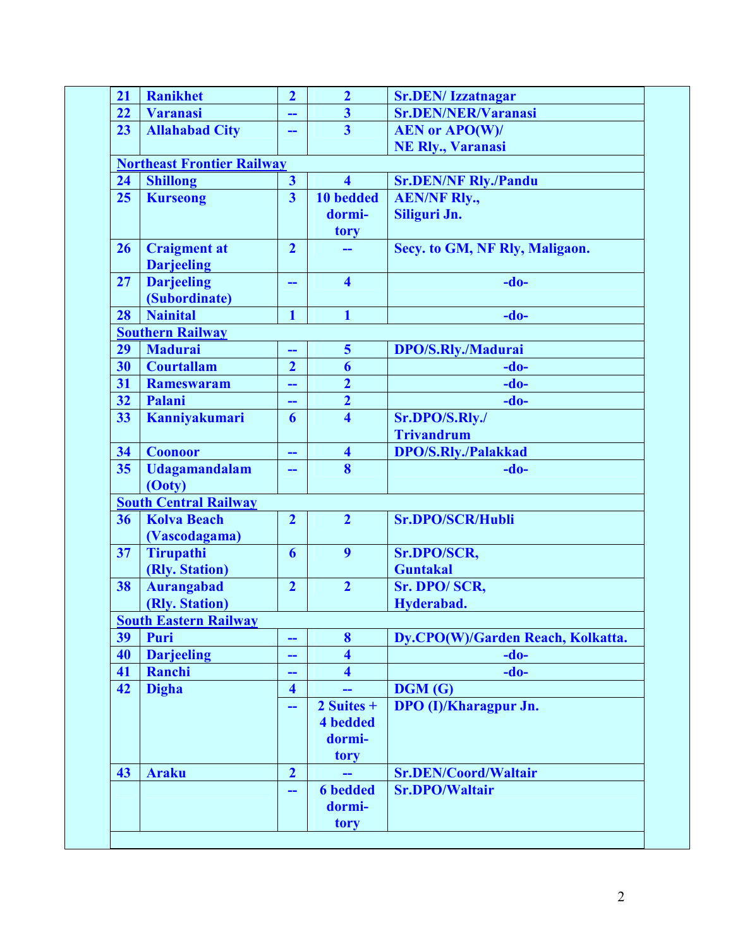| 21                           | <b>Ranikhet</b>                          | $\overline{2}$                    | $\overline{2}$          | <b>Sr.DEN/Izzatnagar</b>            |  |  |  |  |
|------------------------------|------------------------------------------|-----------------------------------|-------------------------|-------------------------------------|--|--|--|--|
| 22                           | <b>Varanasi</b>                          | --                                | $\overline{\mathbf{3}}$ | <b>Sr.DEN/NER/Varanasi</b>          |  |  |  |  |
| 23                           | <b>Allahabad City</b>                    | --                                | $\overline{3}$          | <b>AEN or APO(W)/</b>               |  |  |  |  |
|                              |                                          |                                   |                         | <b>NE Rly., Varanasi</b>            |  |  |  |  |
|                              |                                          | <b>Northeast Frontier Railway</b> |                         |                                     |  |  |  |  |
| 24                           | <b>Shillong</b>                          | $\overline{\mathbf{3}}$           | $\overline{\mathbf{4}}$ | <b>Sr.DEN/NF Rly./Pandu</b>         |  |  |  |  |
| 25                           | <b>Kurseong</b>                          | $\overline{\mathbf{3}}$           | 10 bedded               | <b>AEN/NF Rly.,</b>                 |  |  |  |  |
|                              |                                          |                                   | dormi-                  | Siliguri Jn.                        |  |  |  |  |
|                              |                                          |                                   | tory                    |                                     |  |  |  |  |
| 26                           | <b>Craigment at</b><br><b>Darjeeling</b> | $\overline{2}$                    |                         | Secy. to GM, NF Rly, Maligaon.      |  |  |  |  |
| 27                           | <b>Darjeeling</b><br>(Subordinate)       | --                                | $\overline{\mathbf{4}}$ | $-do-$                              |  |  |  |  |
| 28                           | <b>Nainital</b>                          | $\mathbf{1}$                      | $\mathbf{1}$            | $-do-$                              |  |  |  |  |
|                              | <b>Southern Railway</b>                  |                                   |                         |                                     |  |  |  |  |
| 29                           | <b>Madurai</b>                           |                                   | $\overline{\mathbf{5}}$ | <b>DPO/S.Rly./Madurai</b>           |  |  |  |  |
| 30                           | <b>Courtallam</b>                        | $\overline{2}$                    | 6                       | $-do-$                              |  |  |  |  |
| 31                           | <b>Rameswaram</b>                        |                                   | $\overline{2}$          | $-do-$                              |  |  |  |  |
| 32                           | Palani                                   | --                                | $\overline{2}$          | $-do-$                              |  |  |  |  |
| 33                           | Kanniyakumari                            | 6                                 | $\overline{\mathbf{4}}$ | Sr.DPO/S.Rly./<br><b>Trivandrum</b> |  |  |  |  |
| 34                           | <b>Coonoor</b>                           | --                                | $\overline{\mathbf{4}}$ | <b>DPO/S.Rly./Palakkad</b>          |  |  |  |  |
| 35                           | <b>Udagamandalam</b><br>(Ooty)           | --                                | $\bf{8}$                | $-do-$                              |  |  |  |  |
|                              | <b>South Central Railway</b>             |                                   |                         |                                     |  |  |  |  |
| 36                           | <b>Kolva Beach</b><br>(Vascodagama)      | $\overline{2}$                    | $\overline{2}$          | <b>Sr.DPO/SCR/Hubli</b>             |  |  |  |  |
| 37                           | <b>Tirupathi</b><br>(Rly. Station)       | 6                                 | 9                       | Sr.DPO/SCR,<br><b>Guntakal</b>      |  |  |  |  |
| 38                           | <b>Aurangabad</b>                        | $\overline{2}$                    | $\overline{2}$          | Sr. DPO/SCR,                        |  |  |  |  |
|                              | (Rly. Station)                           |                                   |                         | Hyderabad.                          |  |  |  |  |
| <b>South Eastern Railway</b> |                                          |                                   |                         |                                     |  |  |  |  |
| 39                           | Puri                                     | --                                | 8                       | Dy.CPO(W)/Garden Reach, Kolkatta.   |  |  |  |  |
| 40                           | <b>Darjeeling</b>                        | --                                | $\overline{\mathbf{4}}$ | $-do-$                              |  |  |  |  |
| 41                           | Ranchi                                   |                                   | $\overline{\mathbf{4}}$ | $-do-$                              |  |  |  |  |
| 42                           | <b>Digha</b>                             | $\overline{\mathbf{4}}$           |                         | <b>DGM(G)</b>                       |  |  |  |  |
|                              |                                          | --                                | $2$ Suites +            | <b>DPO</b> (I)/Kharagpur Jn.        |  |  |  |  |
|                              |                                          |                                   | <b>4</b> bedded         |                                     |  |  |  |  |
|                              |                                          |                                   | dormi-                  |                                     |  |  |  |  |
|                              |                                          |                                   | tory                    |                                     |  |  |  |  |
| 43                           | <b>Araku</b>                             | $\overline{2}$                    | --                      | <b>Sr.DEN/Coord/Waltair</b>         |  |  |  |  |
|                              |                                          | --                                | <b>6</b> bedded         | <b>Sr.DPO/Waltair</b>               |  |  |  |  |
|                              |                                          |                                   | dormi-                  |                                     |  |  |  |  |
|                              |                                          |                                   | tory                    |                                     |  |  |  |  |